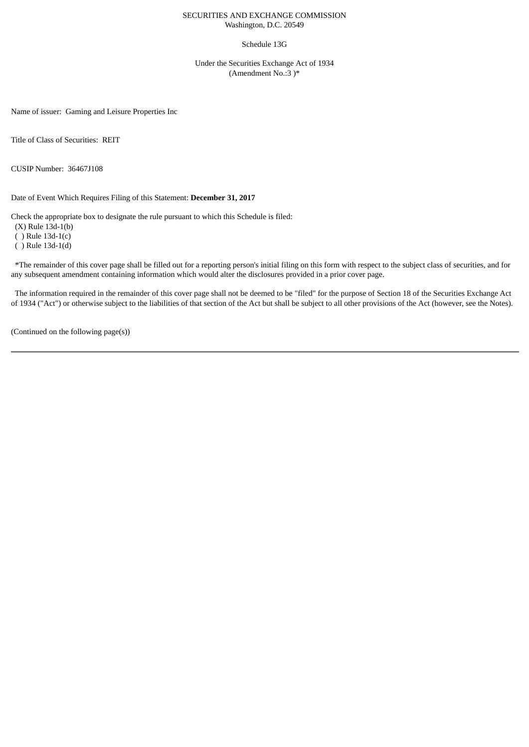## SECURITIES AND EXCHANGE COMMISSION Washington, D.C. 20549

### Schedule 13G

Under the Securities Exchange Act of 1934 (Amendment No.:3 )\*

Name of issuer: Gaming and Leisure Properties Inc

Title of Class of Securities: REIT

CUSIP Number: 36467J108

Date of Event Which Requires Filing of this Statement: **December 31, 2017**

Check the appropriate box to designate the rule pursuant to which this Schedule is filed:

(X) Rule 13d-1(b)

( ) Rule 13d-1(c)

( ) Rule 13d-1(d)

\*The remainder of this cover page shall be filled out for a reporting person's initial filing on this form with respect to the subject class of securities, and for any subsequent amendment containing information which would alter the disclosures provided in a prior cover page.

The information required in the remainder of this cover page shall not be deemed to be "filed" for the purpose of Section 18 of the Securities Exchange Act of 1934 ("Act") or otherwise subject to the liabilities of that section of the Act but shall be subject to all other provisions of the Act (however, see the Notes).

(Continued on the following page(s))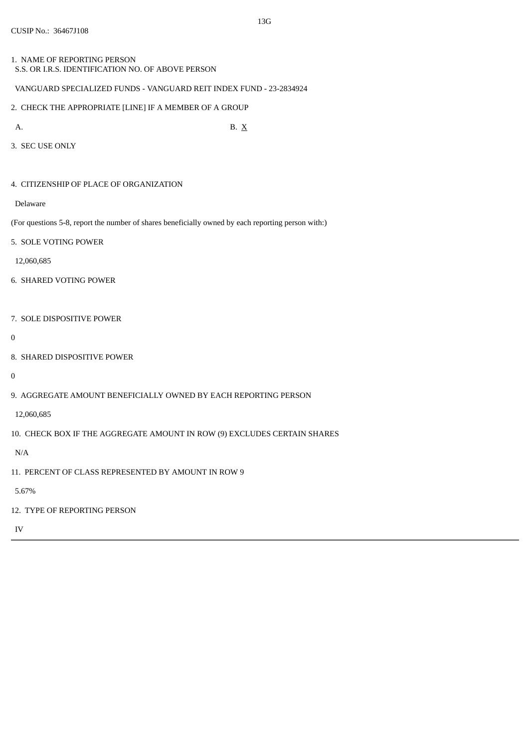1. NAME OF REPORTING PERSON S.S. OR I.R.S. IDENTIFICATION NO. OF ABOVE PERSON

# VANGUARD SPECIALIZED FUNDS - VANGUARD REIT INDEX FUND - 23-2834924

2. CHECK THE APPROPRIATE [LINE] IF A MEMBER OF A GROUP

A. B.  $X$ 

- 3. SEC USE ONLY
- 4. CITIZENSHIP OF PLACE OF ORGANIZATION

Delaware

(For questions 5-8, report the number of shares beneficially owned by each reporting person with:)

5. SOLE VOTING POWER

12,060,685

- 6. SHARED VOTING POWER
- 7. SOLE DISPOSITIVE POWER
- $\overline{0}$
- 8. SHARED DISPOSITIVE POWER

0

9. AGGREGATE AMOUNT BENEFICIALLY OWNED BY EACH REPORTING PERSON

12,060,685

10. CHECK BOX IF THE AGGREGATE AMOUNT IN ROW (9) EXCLUDES CERTAIN SHARES

N/A

11. PERCENT OF CLASS REPRESENTED BY AMOUNT IN ROW 9

5.67%

12. TYPE OF REPORTING PERSON

IV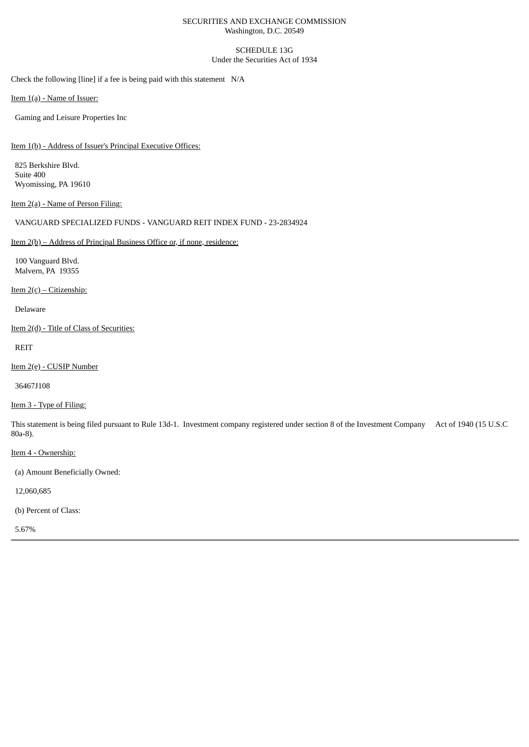## SECURITIES AND EXCHANGE COMMISSION Washington, D.C. 20549

### SCHEDULE 13G Under the Securities Act of 1934

Check the following [line] if a fee is being paid with this statement N/A

Item 1(a) - Name of Issuer:

Gaming and Leisure Properties Inc

Item 1(b) - Address of Issuer's Principal Executive Offices:

825 Berkshire Blvd. Suite 400 Wyomissing, PA 19610

Item 2(a) - Name of Person Filing:

VANGUARD SPECIALIZED FUNDS - VANGUARD REIT INDEX FUND - 23-2834924

# Item 2(b) – Address of Principal Business Office or, if none, residence:

100 Vanguard Blvd. Malvern, PA 19355

Item  $2(c)$  – Citizenship:

Delaware

Item 2(d) - Title of Class of Securities:

REIT

Item 2(e) - CUSIP Number

36467J108

Item 3 - Type of Filing:

This statement is being filed pursuant to Rule 13d-1. Investment company registered under section 8 of the Investment Company Act of 1940 (15 U.S.C 80a-8).

Item 4 - Ownership:

(a) Amount Beneficially Owned:

12,060,685

(b) Percent of Class:

5.67%